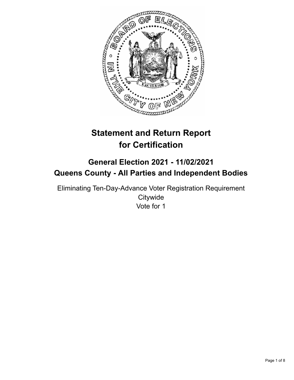

# **Statement and Return Report for Certification**

## **General Election 2021 - 11/02/2021 Queens County - All Parties and Independent Bodies**

Eliminating Ten-Day-Advance Voter Registration Requirement **Citywide** Vote for 1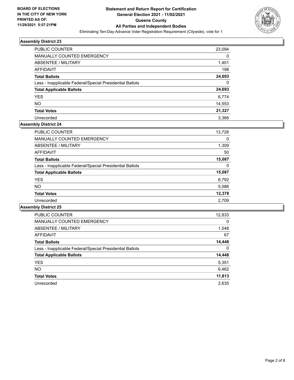

| <b>PUBLIC COUNTER</b>                                    | 23,094 |
|----------------------------------------------------------|--------|
| MANUALLY COUNTED EMERGENCY                               | 0      |
| <b>ABSENTEE / MILITARY</b>                               | 1,401  |
| AFFIDAVIT                                                | 198    |
| <b>Total Ballots</b>                                     | 24,693 |
| Less - Inapplicable Federal/Special Presidential Ballots | 0      |
| <b>Total Applicable Ballots</b>                          | 24,693 |
| <b>YES</b>                                               | 6,774  |
| <b>NO</b>                                                | 14,553 |
| <b>Total Votes</b>                                       | 21,327 |
| Unrecorded                                               | 3.366  |

## **Assembly District 24**

| <b>PUBLIC COUNTER</b>                                    | 13,728 |
|----------------------------------------------------------|--------|
| <b>MANUALLY COUNTED EMERGENCY</b>                        | 0      |
| ABSENTEE / MILITARY                                      | 1,309  |
| AFFIDAVIT                                                | 50     |
| <b>Total Ballots</b>                                     | 15,087 |
| Less - Inapplicable Federal/Special Presidential Ballots | 0      |
| <b>Total Applicable Ballots</b>                          | 15,087 |
| <b>YES</b>                                               | 6,792  |
| <b>NO</b>                                                | 5,586  |
| <b>Total Votes</b>                                       | 12,378 |
| Unrecorded                                               | 2.709  |

| <b>PUBLIC COUNTER</b>                                    | 12,833   |
|----------------------------------------------------------|----------|
| <b>MANUALLY COUNTED EMERGENCY</b>                        | $\Omega$ |
| ABSENTEE / MILITARY                                      | 1,548    |
| <b>AFFIDAVIT</b>                                         | 67       |
| <b>Total Ballots</b>                                     | 14,448   |
| Less - Inapplicable Federal/Special Presidential Ballots | $\Omega$ |
| <b>Total Applicable Ballots</b>                          | 14,448   |
| <b>YES</b>                                               | 5,351    |
| NO.                                                      | 6,462    |
| <b>Total Votes</b>                                       | 11,813   |
| Unrecorded                                               | 2.635    |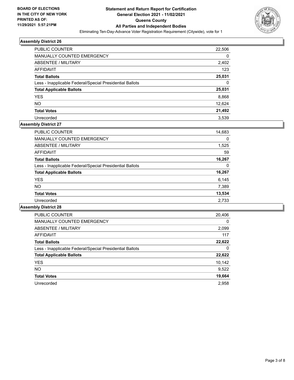

| <b>PUBLIC COUNTER</b>                                    | 22,506 |
|----------------------------------------------------------|--------|
| <b>MANUALLY COUNTED EMERGENCY</b>                        | 0      |
| ABSENTEE / MILITARY                                      | 2,402  |
| AFFIDAVIT                                                | 123    |
| <b>Total Ballots</b>                                     | 25,031 |
| Less - Inapplicable Federal/Special Presidential Ballots | 0      |
| <b>Total Applicable Ballots</b>                          | 25,031 |
| <b>YES</b>                                               | 8,868  |
| <b>NO</b>                                                | 12,624 |
| <b>Total Votes</b>                                       | 21,492 |
| Unrecorded                                               | 3.539  |

## **Assembly District 27**

| <b>PUBLIC COUNTER</b>                                    | 14,683 |
|----------------------------------------------------------|--------|
| <b>MANUALLY COUNTED EMERGENCY</b>                        | 0      |
| ABSENTEE / MILITARY                                      | 1,525  |
| <b>AFFIDAVIT</b>                                         | 59     |
| <b>Total Ballots</b>                                     | 16,267 |
| Less - Inapplicable Federal/Special Presidential Ballots | 0      |
| <b>Total Applicable Ballots</b>                          | 16,267 |
| <b>YES</b>                                               | 6,145  |
| <b>NO</b>                                                | 7,389  |
| <b>Total Votes</b>                                       | 13,534 |
| Unrecorded                                               | 2,733  |

| <b>PUBLIC COUNTER</b>                                    | 20,406   |
|----------------------------------------------------------|----------|
| <b>MANUALLY COUNTED EMERGENCY</b>                        | $\Omega$ |
| ABSENTEE / MILITARY                                      | 2,099    |
| <b>AFFIDAVIT</b>                                         | 117      |
| <b>Total Ballots</b>                                     | 22,622   |
| Less - Inapplicable Federal/Special Presidential Ballots | 0        |
| <b>Total Applicable Ballots</b>                          | 22,622   |
| <b>YES</b>                                               | 10,142   |
| NO.                                                      | 9,522    |
| <b>Total Votes</b>                                       | 19,664   |
| Unrecorded                                               | 2.958    |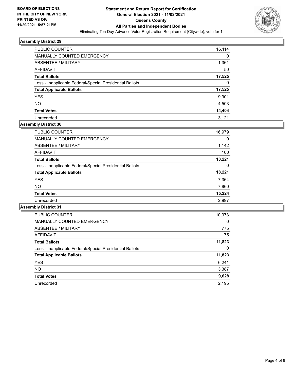

| <b>PUBLIC COUNTER</b>                                    | 16,114 |
|----------------------------------------------------------|--------|
| <b>MANUALLY COUNTED EMERGENCY</b>                        | 0      |
| ABSENTEE / MILITARY                                      | 1,361  |
| AFFIDAVIT                                                | 50     |
| <b>Total Ballots</b>                                     | 17,525 |
| Less - Inapplicable Federal/Special Presidential Ballots | 0      |
| <b>Total Applicable Ballots</b>                          | 17,525 |
| <b>YES</b>                                               | 9,901  |
| <b>NO</b>                                                | 4,503  |
| <b>Total Votes</b>                                       | 14,404 |
| Unrecorded                                               | 3.121  |

#### **Assembly District 30**

| <b>PUBLIC COUNTER</b>                                    | 16,979 |
|----------------------------------------------------------|--------|
| <b>MANUALLY COUNTED EMERGENCY</b>                        | 0      |
| ABSENTEE / MILITARY                                      | 1,142  |
| AFFIDAVIT                                                | 100    |
| <b>Total Ballots</b>                                     | 18,221 |
| Less - Inapplicable Federal/Special Presidential Ballots | 0      |
| <b>Total Applicable Ballots</b>                          | 18,221 |
| <b>YES</b>                                               | 7,364  |
| <b>NO</b>                                                | 7,860  |
| <b>Total Votes</b>                                       | 15,224 |
| Unrecorded                                               | 2,997  |

| <b>PUBLIC COUNTER</b>                                    | 10,973   |
|----------------------------------------------------------|----------|
| <b>MANUALLY COUNTED EMERGENCY</b>                        | $\Omega$ |
| ABSENTEE / MILITARY                                      | 775      |
| <b>AFFIDAVIT</b>                                         | 75       |
| <b>Total Ballots</b>                                     | 11,823   |
| Less - Inapplicable Federal/Special Presidential Ballots | 0        |
| <b>Total Applicable Ballots</b>                          | 11,823   |
| <b>YES</b>                                               | 6,241    |
| NO.                                                      | 3,387    |
| <b>Total Votes</b>                                       | 9,628    |
| Unrecorded                                               | 2.195    |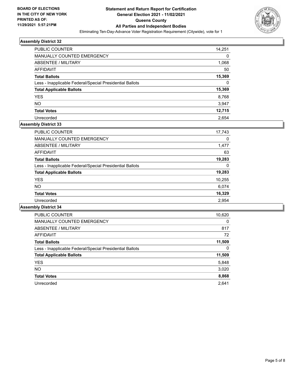

| <b>PUBLIC COUNTER</b>                                    | 14,251 |
|----------------------------------------------------------|--------|
| MANUALLY COUNTED EMERGENCY                               | 0      |
| <b>ABSENTEE / MILITARY</b>                               | 1,068  |
| AFFIDAVIT                                                | 50     |
| <b>Total Ballots</b>                                     | 15,369 |
| Less - Inapplicable Federal/Special Presidential Ballots | 0      |
| <b>Total Applicable Ballots</b>                          | 15,369 |
| <b>YES</b>                                               | 8,768  |
| <b>NO</b>                                                | 3,947  |
| <b>Total Votes</b>                                       | 12,715 |
| Unrecorded                                               | 2.654  |

#### **Assembly District 33**

| <b>PUBLIC COUNTER</b>                                    | 17,743 |
|----------------------------------------------------------|--------|
| <b>MANUALLY COUNTED EMERGENCY</b>                        | 0      |
| ABSENTEE / MILITARY                                      | 1,477  |
| AFFIDAVIT                                                | 63     |
| <b>Total Ballots</b>                                     | 19,283 |
| Less - Inapplicable Federal/Special Presidential Ballots | 0      |
| <b>Total Applicable Ballots</b>                          | 19,283 |
| <b>YES</b>                                               | 10,255 |
| <b>NO</b>                                                | 6.074  |
| <b>Total Votes</b>                                       | 16,329 |
| Unrecorded                                               | 2.954  |

| <b>PUBLIC COUNTER</b>                                    | 10,620   |
|----------------------------------------------------------|----------|
| <b>MANUALLY COUNTED EMERGENCY</b>                        | $\Omega$ |
| ABSENTEE / MILITARY                                      | 817      |
| AFFIDAVIT                                                | 72       |
| <b>Total Ballots</b>                                     | 11,509   |
| Less - Inapplicable Federal/Special Presidential Ballots | 0        |
| <b>Total Applicable Ballots</b>                          | 11,509   |
| <b>YES</b>                                               | 5,848    |
| NO.                                                      | 3,020    |
| <b>Total Votes</b>                                       | 8,868    |
| Unrecorded                                               | 2.641    |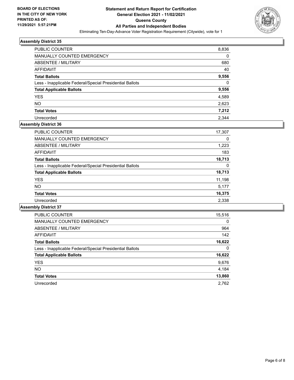

| PUBLIC COUNTER                                           | 8,836    |
|----------------------------------------------------------|----------|
| <b>MANUALLY COUNTED EMERGENCY</b>                        | 0        |
| ABSENTEE / MILITARY                                      | 680      |
| AFFIDAVIT                                                | 40       |
| <b>Total Ballots</b>                                     | 9,556    |
| Less - Inapplicable Federal/Special Presidential Ballots | $\Omega$ |
| <b>Total Applicable Ballots</b>                          | 9,556    |
| <b>YES</b>                                               | 4,589    |
| <b>NO</b>                                                | 2,623    |
| <b>Total Votes</b>                                       | 7,212    |
| Unrecorded                                               | 2.344    |

## **Assembly District 36**

| <b>PUBLIC COUNTER</b>                                    | 17,307 |
|----------------------------------------------------------|--------|
| <b>MANUALLY COUNTED EMERGENCY</b>                        | 0      |
| ABSENTEE / MILITARY                                      | 1,223  |
| AFFIDAVIT                                                | 183    |
| <b>Total Ballots</b>                                     | 18,713 |
| Less - Inapplicable Federal/Special Presidential Ballots | 0      |
| <b>Total Applicable Ballots</b>                          | 18,713 |
| <b>YES</b>                                               | 11,198 |
| <b>NO</b>                                                | 5,177  |
| <b>Total Votes</b>                                       | 16,375 |
| Unrecorded                                               | 2,338  |

| <b>PUBLIC COUNTER</b>                                    | 15,516   |
|----------------------------------------------------------|----------|
| <b>MANUALLY COUNTED EMERGENCY</b>                        | $\Omega$ |
| ABSENTEE / MILITARY                                      | 964      |
| <b>AFFIDAVIT</b>                                         | 142      |
| <b>Total Ballots</b>                                     | 16,622   |
| Less - Inapplicable Federal/Special Presidential Ballots | 0        |
| <b>Total Applicable Ballots</b>                          | 16,622   |
| <b>YES</b>                                               | 9,676    |
| NO.                                                      | 4,184    |
| <b>Total Votes</b>                                       | 13,860   |
| Unrecorded                                               | 2.762    |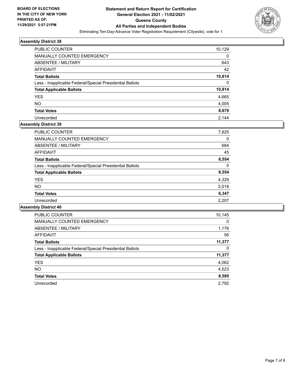

| <b>PUBLIC COUNTER</b>                                    | 10,129   |
|----------------------------------------------------------|----------|
| MANUALLY COUNTED EMERGENCY                               | $\Omega$ |
| ABSENTEE / MILITARY                                      | 643      |
| AFFIDAVIT                                                | 42       |
| <b>Total Ballots</b>                                     | 10,814   |
| Less - Inapplicable Federal/Special Presidential Ballots | $\Omega$ |
| <b>Total Applicable Ballots</b>                          | 10,814   |
| <b>YES</b>                                               | 4,665    |
| <b>NO</b>                                                | 4,005    |
| <b>Total Votes</b>                                       | 8,670    |
| Unrecorded                                               | 2.144    |

## **Assembly District 39**

| <b>PUBLIC COUNTER</b>                                    | 7,825 |
|----------------------------------------------------------|-------|
| <b>MANUALLY COUNTED EMERGENCY</b>                        | 0     |
| ABSENTEE / MILITARY                                      | 684   |
| AFFIDAVIT                                                | 45    |
| <b>Total Ballots</b>                                     | 8,554 |
| Less - Inapplicable Federal/Special Presidential Ballots | 0     |
| <b>Total Applicable Ballots</b>                          | 8,554 |
| <b>YES</b>                                               | 4,329 |
| <b>NO</b>                                                | 2,018 |
| <b>Total Votes</b>                                       | 6,347 |
| Unrecorded                                               | 2,207 |
|                                                          |       |

| <b>PUBLIC COUNTER</b>                                    | 10,145   |
|----------------------------------------------------------|----------|
| <b>MANUALLY COUNTED EMERGENCY</b>                        | $\Omega$ |
| ABSENTEE / MILITARY                                      | 1,176    |
| <b>AFFIDAVIT</b>                                         | 56       |
| <b>Total Ballots</b>                                     | 11,377   |
| Less - Inapplicable Federal/Special Presidential Ballots | 0        |
| <b>Total Applicable Ballots</b>                          | 11,377   |
| <b>YES</b>                                               | 4,062    |
| <b>NO</b>                                                | 4,523    |
| <b>Total Votes</b>                                       | 8,585    |
| Unrecorded                                               | 2.792    |